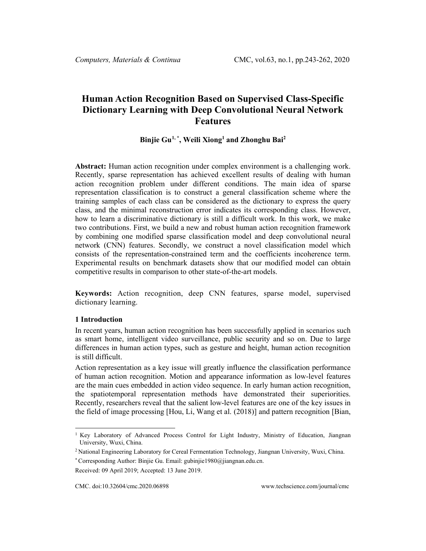# **Human Action Recognition Based on Supervised Class-Specific Dictionary Learning with Deep Convolutional Neural Network Features**

# **Binjie Gu[1,](#page-0-0) \* , Weili Xiong1 and Zhonghu Bai2**

**Abstract:** Human action recognition under complex environment is a challenging work. Recently, sparse representation has achieved excellent results of dealing with human action recognition problem under different conditions. The main idea of sparse representation classification is to construct a general classification scheme where the training samples of each class can be considered as the dictionary to express the query class, and the minimal reconstruction error indicates its corresponding class. However, how to learn a discriminative dictionary is still a difficult work. In this work, we make two contributions. First, we build a new and robust human action recognition framework by combining one modified sparse classification model and deep convolutional neural network (CNN) features. Secondly, we construct a novel classification model which consists of the representation-constrained term and the coefficients incoherence term. Experimental results on benchmark datasets show that our modified model can obtain competitive results in comparison to other state-of-the-art models.

**Keywords:** Action recognition, deep CNN features, sparse model, supervised dictionary learning.

#### **1 Introduction**

In recent years, human action recognition has been successfully applied in scenarios such as smart home, intelligent video surveillance, public security and so on. Due to large differences in human action types, such as gesture and height, human action recognition is still difficult.

Action representation as a key issue will greatly influence the classification performance of human action recognition. Motion and appearance information as low-level features are the main cues embedded in action video sequence. In early human action recognition, the spatiotemporal representation methods have demonstrated their superiorities. Recently, researchers reveal that the salient low-level features are one of the key issues in the field of image processing [Hou, Li, Wang et al. (2018)] and pattern recognition [Bian,

\* Corresponding Author: Binjie Gu. Email: gubinjie1980@jiangnan.edu.cn.

<span id="page-0-0"></span><sup>&</sup>lt;sup>1</sup> Key Laboratory of Advanced Process Control for Light Industry, Ministry of Education, Jiangnan University, Wuxi, China.

<sup>2</sup> National Engineering Laboratory for Cereal Fermentation Technology, Jiangnan University, Wuxi, China.

Received: 09 April 2019; Accepted: 13 June 2019.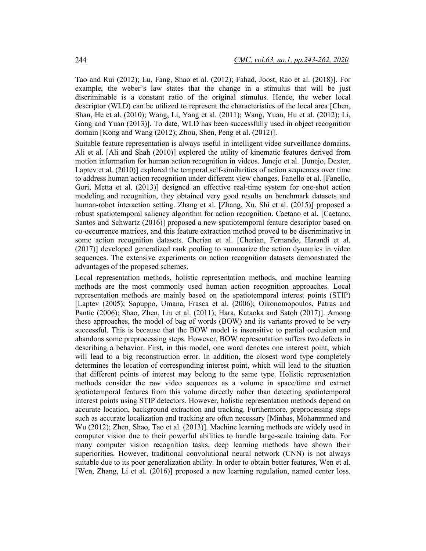Tao and Rui (2012); Lu, Fang, Shao et al. (2012); Fahad, Joost, Rao et al. (2018)]. For example, the weber's law states that the change in a stimulus that will be just discriminable is a constant ratio of the original stimulus. Hence, the weber local descriptor (WLD) can be utilized to represent the characteristics of the local area [Chen, Shan, He et al. (2010); Wang, Li, Yang et al. (2011); Wang, Yuan, Hu et al. (2012); Li, Gong and Yuan (2013)]. To date, WLD has been successfully used in object recognition domain [Kong and Wang (2012); Zhou, Shen, Peng et al. (2012)].

Suitable feature representation is always useful in intelligent video surveillance domains. Ali et al. [Ali and Shah (2010)] explored the utility of kinematic features derived from motion information for human action recognition in videos. Junejo et al. [Junejo, Dexter, Laptev et al. (2010)] explored the temporal self-similarities of action sequences over time to address human action recognition under different view changes. Fanello et al. [Fanello, Gori, Metta et al. (2013)] designed an effective real-time system for one-shot action modeling and recognition, they obtained very good results on benchmark datasets and human-robot interaction setting. Zhang et al. [Zhang, Xu, Shi et al. (2015)] proposed a robust spatiotemporal saliency algorithm for action recognition. Caetano et al. [Caetano, Santos and Schwartz (2016)] proposed a new spatiotemporal feature descriptor based on co-occurrence matrices, and this feature extraction method proved to be discriminative in some action recognition datasets. Cherian et al. [Cherian, Fernando, Harandi et al. (2017)] developed generalized rank pooling to summarize the action dynamics in video sequences. The extensive experiments on action recognition datasets demonstrated the advantages of the proposed schemes.

Local representation methods, holistic representation methods, and machine learning methods are the most commonly used human action recognition approaches. Local representation methods are mainly based on the spatiotemporal interest points (STIP) [Laptev (2005); Sapuppo, Umana, Frasca et al. (2006); Oikonomopoulos, Patras and Pantic (2006); Shao, Zhen, Liu et al. (2011); Hara, Kataoka and Satoh (2017)]. Among these approaches, the model of bag of words (BOW) and its variants proved to be very successful. This is because that the BOW model is insensitive to partial occlusion and abandons some preprocessing steps. However, BOW representation suffers two defects in describing a behavior. First, in this model, one word denotes one interest point, which will lead to a big reconstruction error. In addition, the closest word type completely determines the location of corresponding interest point, which will lead to the situation that different points of interest may belong to the same type. Holistic representation methods consider the raw video sequences as a volume in space/time and extract spatiotemporal features from this volume directly rather than detecting spatiotemporal interest points using STIP detectors. However, holistic representation methods depend on accurate location, background extraction and tracking. Furthermore, preprocessing steps such as accurate localization and tracking are often necessary [Minhas, Mohanmmed and Wu (2012); Zhen, Shao, Tao et al. (2013)]. Machine learning methods are widely used in computer vision due to their powerful abilities to handle large-scale training data. For many computer vision recognition tasks, deep learning methods have shown their superiorities. However, traditional convolutional neural network (CNN) is not always suitable due to its poor generalization ability. In order to obtain better features, Wen et al. [Wen, Zhang, Li et al. (2016)] proposed a new learning regulation, named center loss.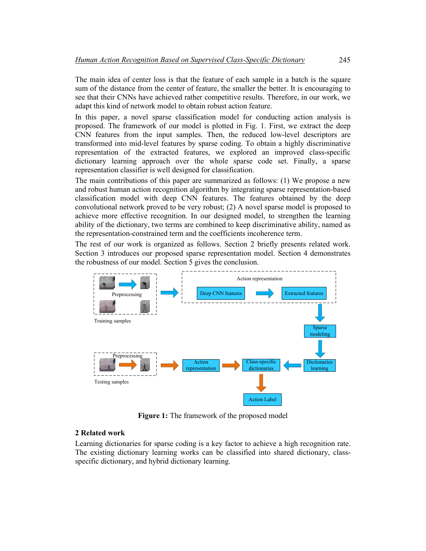The main idea of center loss is that the feature of each sample in a batch is the square sum of the distance from the center of feature, the smaller the better. It is encouraging to see that their CNNs have achieved rather competitive results. Therefore, in our work, we adapt this kind of network model to obtain robust action feature.

In this paper, a novel sparse classification model for conducting action analysis is proposed. The framework of our model is plotted in Fig. 1. First, we extract the deep CNN features from the input samples. Then, the reduced low-level descriptors are transformed into mid-level features by sparse coding. To obtain a highly discriminative representation of the extracted features, we explored an improved class-specific dictionary learning approach over the whole sparse code set. Finally, a sparse representation classifier is well designed for classification.

The main contributions of this paper are summarized as follows: (1) We propose a new and robust human action recognition algorithm by integrating sparse representation-based classification model with deep CNN features. The features obtained by the deep convolutional network proved to be very robust; (2) A novel sparse model is proposed to achieve more effective recognition. In our designed model, to strengthen the learning ability of the dictionary, two terms are combined to keep discriminative ability, named as the representation-constrained term and the coefficients incoherence term.

The rest of our work is organized as follows. Section 2 briefly presents related work. Section 3 introduces our proposed sparse representation model. Section 4 demonstrates the robustness of our model. Section 5 gives the conclusion.



**Figure 1:** The framework of the proposed model

# **2 Related work**

Learning dictionaries for sparse coding is a key factor to achieve a high recognition rate. The existing dictionary learning works can be classified into shared dictionary, classspecific dictionary, and hybrid dictionary learning.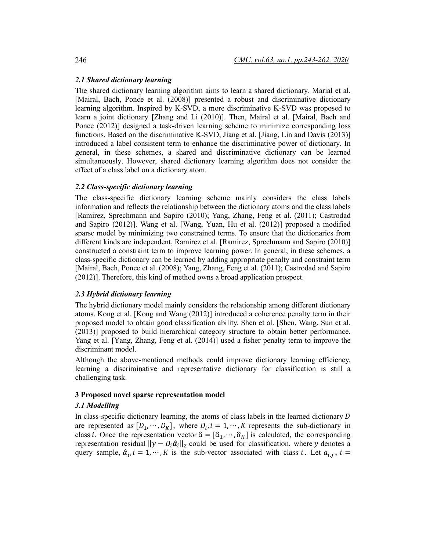# *2.1 Shared dictionary learning*

The shared dictionary learning algorithm aims to learn a shared dictionary. Marial et al. [Mairal, Bach, Ponce et al. (2008)] presented a robust and discriminative dictionary learning algorithm. Inspired by K-SVD, a more discriminative K-SVD was proposed to learn a joint dictionary [Zhang and Li (2010)]. Then, Mairal et al. [Mairal, Bach and Ponce (2012)] designed a task-driven learning scheme to minimize corresponding loss functions. Based on the discriminative K-SVD, Jiang et al. [Jiang, Lin and Davis (2013)] introduced a label consistent term to enhance the discriminative power of dictionary. In general, in these schemes, a shared and discriminative dictionary can be learned simultaneously. However, shared dictionary learning algorithm does not consider the effect of a class label on a dictionary atom.

### *2.2 Class-specific dictionary learning*

The class-specific dictionary learning scheme mainly considers the class labels information and reflects the relationship between the dictionary atoms and the class labels [Ramirez, Sprechmann and Sapiro (2010); Yang, Zhang, Feng et al. (2011); Castrodad and Sapiro (2012)]. Wang et al. [Wang, Yuan, Hu et al. (2012)] proposed a modified sparse model by minimizing two constrained terms. To ensure that the dictionaries from different kinds are independent, Ramirez et al. [Ramirez, Sprechmann and Sapiro (2010)] constructed a constraint term to improve learning power. In general, in these schemes, a class-specific dictionary can be learned by adding appropriate penalty and constraint term [Mairal, Bach, Ponce et al. (2008); Yang, Zhang, Feng et al. (2011); Castrodad and Sapiro (2012)]. Therefore, this kind of method owns a broad application prospect.

### *2.3 Hybrid dictionary learning*

The hybrid dictionary model mainly considers the relationship among different dictionary atoms. Kong et al. [Kong and Wang (2012)] introduced a coherence penalty term in their proposed model to obtain good classification ability. Shen et al. [Shen, Wang, Sun et al. (2013)] proposed to build hierarchical category structure to obtain better performance. Yang et al. [Yang, Zhang, Feng et al. (2014)] used a fisher penalty term to improve the discriminant model.

Although the above-mentioned methods could improve dictionary learning efficiency, learning a discriminative and representative dictionary for classification is still a challenging task.

## **3 Proposed novel sparse representation model**

# *3.1 Modelling*

In class-specific dictionary learning, the atoms of class labels in the learned dictionary  $D$ are represented as  $[D_1, \dots, D_K]$ , where  $D_i$ ,  $i = 1, \dots, K$  represents the sub-dictionary in class i. Once the representation vector  $\hat{\alpha} = [\hat{\alpha}_1, \dots, \hat{\alpha}_K]$  is calculated, the corresponding representation residual  $||y - D_i \hat{\alpha}_i||_2$  could be used for classification, where y denotes a query sample,  $\hat{\alpha}_i$ ,  $i = 1, \dots, K$  is the sub-vector associated with class i. Let  $a_{i,j}$ ,  $i =$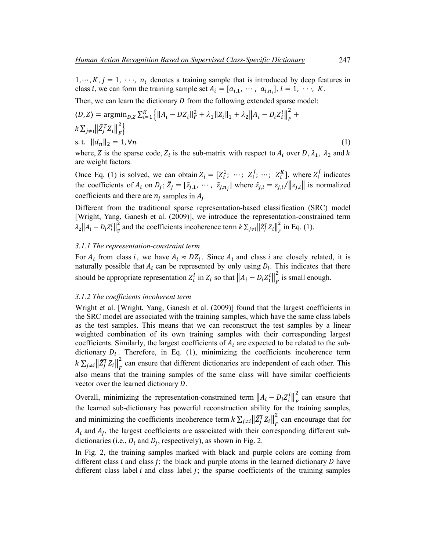$1, \dots, K, j = 1, \dots, n_i$  denotes a training sample that is introduced by deep features in class *i*, we can form the training sample set  $A_i = [a_{i,1}, \dots, a_{i,n_i}], i = 1, \dots, K$ .

Then, we can learn the dictionary  $D$  from the following extended sparse model:

$$
\langle D, Z \rangle = \operatorname{argmin}_{D, Z} \sum_{i=1}^{K} \left\{ ||A_i - DZ_i||_F^2 + \lambda_1 ||Z_i||_1 + \lambda_2 ||A_i - D_i Z_i^i||_F^2 + \ksum_{j \neq i} ||\tilde{Z}_j^T Z_i||_F^2 \right\}
$$
  
s.t.  $||d_n||_2 = 1, \forall n$  (1)

where, Z is the sparse code,  $Z_i$  is the sub-matrix with respect to  $A_i$  over D,  $\lambda_1$ ,  $\lambda_2$  and k are weight factors.

Once Eq. (1) is solved, we can obtain  $Z_i = [Z_i^1; \dots; Z_i^j; \dots; Z_i^K]$ , where  $Z_i^j$  indicates the coefficients of  $A_i$  on  $D_j$ ;  $\bar{Z}_j = [\bar{z}_{j,1}, \dots, \bar{z}_{j,n_j}]$  where  $\bar{z}_{j,i} = z_{j,i}/||z_{j,i}||$  is normalized coefficients and there are  $n_i$  samples in  $A_i$ .

Different from the traditional sparse representation-based classification (SRC) model [Wright, Yang, Ganesh et al. (2009)], we introduce the representation-constrained term  $\lambda_2 ||A_i - D_i Z_i^i||_F^2$  and the coefficients incoherence term  $k \sum_{j \neq i} ||Z_j^T Z_i||_F^2$  in Eq. (1).

#### *3.1.1 The representation-constraint term*

For  $A_i$  from class i, we have  $A_i \approx DZ_i$ . Since  $A_i$  and class i are closely related, it is naturally possible that  $A_i$  can be represented by only using  $D_i$ . This indicates that there should be appropriate representation  $Z_i^i$  in  $Z_i$  so that  $||A_i - D_i Z_i^i||_F^2$  is small enough.

#### *3.1.2 The coefficients incoherent term*

Wright et al. [Wright, Yang, Ganesh et al. (2009)] found that the largest coefficients in the SRC model are associated with the training samples, which have the same class labels as the test samples. This means that we can reconstruct the test samples by a linear weighted combination of its own training samples with their corresponding largest coefficients. Similarly, the largest coefficients of  $A_i$  are expected to be related to the subdictionary  $D_i$ . Therefore, in Eq. (1), minimizing the coefficients incoherence term  $k \sum_{j \neq i} \left\| \tilde{Z}_j^T Z_i \right\|_F^2$  can ensure that different dictionaries are independent of each other. This also means that the training samples of the same class will have similar coefficients vector over the learned dictionary  $D$ .

Overall, minimizing the representation-constrained term  $||A_i - D_i Z_i^i||_F^2$  can ensure that the learned sub-dictionary has powerful reconstruction ability for the training samples, and minimizing the coefficients incoherence term  $k \sum_{j \neq i} \left\| \tilde{Z}_j^T Z_i \right\|_F^2$  can encourage that for  $A_i$  and  $A_j$ , the largest coefficients are associated with their corresponding different subdictionaries (i.e.,  $D_i$  and  $D_j$ , respectively), as shown in Fig. 2.

In Fig. 2, the training samples marked with black and purple colors are coming from different class  $i$  and class  $j$ ; the black and purple atoms in the learned dictionary  $D$  have different class label  $i$  and class label  $j$ ; the sparse coefficients of the training samples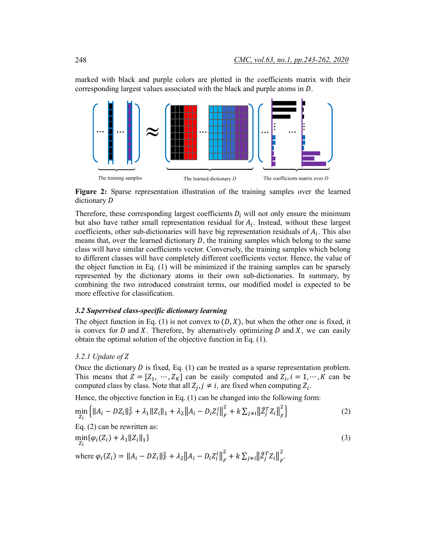marked with black and purple colors are plotted in the coefficients matrix with their corresponding largest values associated with the black and purple atoms in  $D$ .



**Figure 2:** Sparse representation illustration of the training samples over the learned dictionary D

Therefore, these corresponding largest coefficients  $D_i$  will not only ensure the minimum but also have rather small representation residual for  $A_i$ . Instead, without these largest coefficients, other sub-dictionaries will have big representation residuals of  $A_i$ . This also means that, over the learned dictionary  $D$ , the training samples which belong to the same class will have similar coefficients vector. Conversely, the training samples which belong to different classes will have completely different coefficients vector. Hence, the value of the object function in Eq. (1) will be minimized if the training samples can be sparsely represented by the dictionary atoms in their own sub-dictionaries. In summary, by combining the two introduced constraint terms, our modified model is expected to be more effective for classification.

### *3.2 Supervised class-specific dictionary learning*

The object function in Eq. (1) is not convex to  $(D, X)$ , but when the other one is fixed, it is convex for  $D$  and  $X$ . Therefore, by alternatively optimizing  $D$  and  $X$ , we can easily obtain the optimal solution of the objective function in Eq. (1).

# *3.2.1 Update of*

Once the dictionary  $D$  is fixed, Eq. (1) can be treated as a sparse representation problem. This means that  $Z = [Z_1, \dots, Z_K]$  can be easily computed and  $Z_i$ ,  $i = 1, \dots, K$  can be computed class by class. Note that all  $Z_j$ ,  $j \neq i$ , are fixed when computing  $Z_i$ .

Hence, the objective function in Eq. (1) can be changed into the following form:

$$
\min_{Z_i} \left\{ \|A_i - D Z_i\|_F^2 + \lambda_1 \|Z_i\|_1 + \lambda_2 \|A_i - D_i Z_i^i\|_F^2 + k \sum_{j \neq i} \left\| \tilde{Z}_j^T Z_i \right\|_F^2 \right\} \tag{2}
$$

Eq. (2) can be rewritten as:

$$
\min_{Z_i} {\{\varphi_i(Z_i) + \lambda_1 ||Z_i||_1\}}
$$
\nwhere  $\varphi_i(Z_i) = ||A_i - DZ_i||_F^2 + \lambda_2 ||A_i - D_iZ_i||_F^2 + k \sum_{j \neq i} ||\tilde{Z}_j^T Z_i||_F^2$ . (3)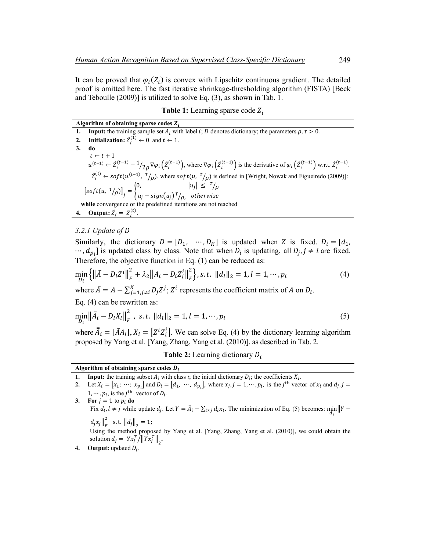It can be proved that  $\varphi_i(Z_i)$  is convex with Lipschitz continuous gradient. The detailed proof is omitted here. The fast iterative shrinkage-thresholding algorithm (FISTA) [Beck and Teboulle (2009)] is utilized to solve Eq. (3), as shown in Tab. 1.

**Table 1:** Learning sparse code  $Z_i$ 

| Algorithm of obtaining sparse codes $Z_i$ |  |
|-------------------------------------------|--|
|                                           |  |

**1. Input:** the training sample set  $A_i$  with label  $i$ ;  $D$  denotes dictionary; the parameters  $\rho$ ,  $\tau > 0$ . **2. Initialization:**  $\hat{Z}_i^{(1)} \leftarrow 0$  and  $t \leftarrow 1$ . **3. do**  $t \leftarrow t + 1$  $u^{(t-1)} \leftarrow 2_i^{(t-1)} - 1/2 \rho \nabla \varphi_i \left( 2_i^{(t-1)} \right)$ , where  $\nabla \varphi_i \left( 2_i^{(t-1)} \right)$  is the derivative of  $\varphi_i \left( 2_i^{(t-1)} \right)$  w.r.t.  $2_i^{(t-1)}$ .  $\hat{Z}_i^{(t)} \leftarrow$  soft $(u^{(t-1)}, \, ^t/_{\rho})$ , where soft $(u, \, ^t/_{\rho})$  is defined in [Wright, Nowak and Figueiredo (2009)]:  $\left[ soft(u, \frac{\tau}{\rho}) \right]_j = \left\{$ 0,  $|u_j| \leq \frac{\tau}{\rho}$  $u_j - \text{sign}(u_j)^\tau /_{\rho, \text{ } }$  otherwise **while** convergence or the predefined iterations are not reached **4. Output:**  $\hat{Z}_i = Z_i^{(t)}$ .

# *3.2.1 Update of*

Similarly, the dictionary  $D = [D_1, \cdots, D_K]$  is updated when Z is fixed.  $D_i = [d_1,$  $\cdots$ ,  $d_{p_i}$  is updated class by class. Note that when  $D_i$  is updating, all  $D_j$ ,  $j \neq i$  are fixed. Therefore, the objective function in Eq. (1) can be reduced as:

$$
\min_{D_i} \left\{ \left\| \bar{A} - D_i Z^i \right\|_F^2 + \lambda_2 \left\| A_i - D_i Z_i^i \right\|_F^2 \right\}, \text{s.t. } \|d_l\|_2 = 1, l = 1, \cdots, p_i \tag{4}
$$

where  $\bar{A} = A - \sum_{i=1, i \neq i}^{K} D_i Z^i$ ;  $Z^i$  represents the coefficient matrix of A on  $D_i$ .

Eq. (4) can be rewritten as:

$$
\min_{D_l} \left\| \bar{A}_i - D_i X_i \right\|_F^2, \text{ s.t. } \|d_l\|_2 = 1, l = 1, \cdots, p_i \tag{5}
$$

where  $\overline{A}_i = [\overline{A}A_i], X_i = [Z^t Z_i^t]$ . We can solve Eq. (4) by the dictionary learning algorithm proposed by Yang et al. [Yang, Zhang, Yang et al. (2010)], as described in Tab. 2.

**Table 2:** Learning dictionary  $D_i$ 

### **Algorithm of obtaining sparse codes**

- **1. Input:** the training subset  $\overline{A_i}$  with class *i*; the initial dictionary  $D_i$ ; the coefficients  $X_i$ .
- **2.** Let  $X_i = [x_1; \dots; x_{p_i}]$  and  $D_i = [d_1, \dots, d_{p_i}]$ , where  $x_j, j = 1, \dots, p_i$ , is the j<sup>th</sup> vector of  $x_i$  and  $d_j, j = 1, \dots, p_i$  $1, \dots, p_i$ , is the j<sup>th</sup> vector of  $D_i$ .

**3. For**  $j = 1$  to  $p_i$  **do** Fix  $d_i, l \neq j$  while update  $d_j$ . Let  $Y = \overline{A}_i - \sum_{l \neq j} d_l x_l$ . The minimization of Eq. (5) becomes:  $\min_{d_j} ||Y - \min_{d_j} d_l x_l$  $d_j x_j \big\|_F^2$  s.t.  $\big\| d_j \big\|_2 = 1;$ Using the method proposed by Yang et al. [Yang, Zhang, Yang et al. (2010)], we could obtain the solution  $d_j = Y x_j^T / \|Y x_j^T\|_2$ .

**4. Output:** updated  $D_i$ .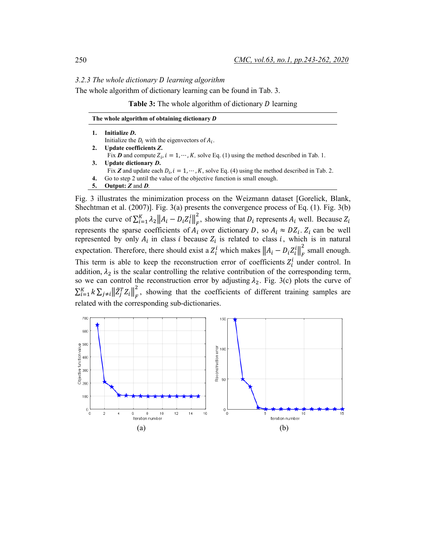*3.2.3 The whole dictionary learning algorithm*

The whole algorithm of dictionary learning can be found in Tab. 3.

**Table 3:** The whole algorithm of dictionary *D* learning

|    | The whole algorithm of obtaining dictionary D                                                                |
|----|--------------------------------------------------------------------------------------------------------------|
|    | Initialize D.                                                                                                |
|    | Initialize the $D_i$ with the eigenvectors of $A_i$ .                                                        |
| 2. | Update coefficients Z.                                                                                       |
|    | Fix <b>D</b> and compute $Z_i$ , $i = 1, \dots, K$ , solve Eq. (1) using the method described in Tab. 1.     |
|    | Update dictionary D.                                                                                         |
|    | Fix <b>Z</b> and update each $D_i$ , $i = 1, \dots, K$ , solve Eq. (4) using the method described in Tab. 2. |
| 4. | Go to step 2 until the value of the objective function is small enough.                                      |

**5. Output:** *Z* and *D.*

Fig. 3 illustrates the minimization process on the Weizmann dataset [Gorelick, Blank, Shechtman et al. (2007)]. Fig. 3(a) presents the convergence process of Eq. (1). Fig. 3(b) plots the curve of  $\sum_{i=1}^{K} \lambda_2 ||A_i - D_i Z_i||_F^2$ , showing that  $D_i$  represents  $A_i$  well. Because  $Z_i$ represents the sparse coefficients of  $A_i$  over dictionary D, so  $A_i \approx DZ_i$ .  $Z_i$  can be well represented by only  $A_i$  in class *i* because  $Z_i$  is related to class *i*, which is in natural expectation. Therefore, there should exist a  $Z_i^i$  which makes  $||A_i - D_i Z_i^i||_F^2$  small enough. This term is able to keep the reconstruction error of coefficients  $Z_i^l$  under control. In addition,  $\lambda_2$  is the scalar controlling the relative contribution of the corresponding term, so we can control the reconstruction error by adjusting  $\lambda_2$ . Fig. 3(c) plots the curve of  $\sum_{i=1}^K k \sum_{j\neq i} \left\| \tilde{Z}_j^T Z_i \right\|_F^2$  $\sum_{i=1}^{K} k \sum_{j \neq i} \left\| \tilde{Z}_{j}^{T} Z_{i} \right\|_{F}^{2}$ , showing that the coefficients of different training samples are related with the corresponding sub-dictionaries.

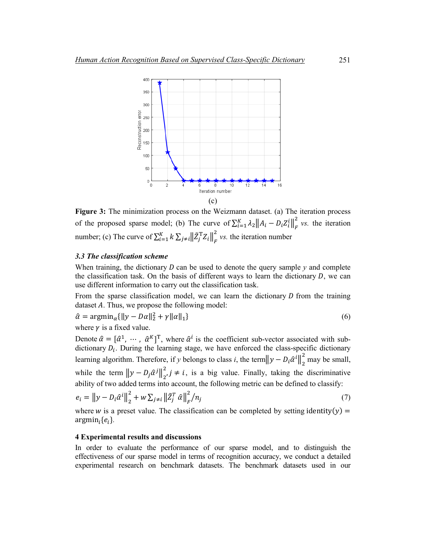

**Figure 3:** The minimization process on the Weizmann dataset. (a) The iteration process of the proposed sparse model; (b) The curve of  $\sum_{i=1}^{K} \lambda_2 ||A_i - D_i Z_i^i||_F^2$  vs. the iteration number; (c) The curve of  $\sum_{i=1}^{K} k \sum_{j \neq i} ||\tilde{Z}_j^T Z_i||_F^2$  $_{i=1}^{K} k \sum_{j \neq i} \left\| \tilde{Z}_{j}^{\mathrm{T}} Z_{i} \right\|_{F}^{2}$  *vs.* the iteration number

# *3.3 The classification scheme*

When training, the dictionary  $D$  can be used to denote the query sample  $y$  and complete the classification task. On the basis of different ways to learn the dictionary  $D$ , we can use different information to carry out the classification task.

From the sparse classification model, we can learn the dictionary  $D$  from the training dataset  $\vec{A}$ . Thus, we propose the following model:

$$
\hat{\alpha} = \operatorname{argmin}_{\alpha} \{ \|y - D\alpha\|_2^2 + \gamma \|\alpha\|_1 \} \tag{6}
$$

where  $\nu$  is a fixed value.

Denote  $\hat{\alpha} = [\hat{\alpha}^1, \dots, \hat{\alpha}^K]^T$ , where  $\hat{\alpha}^i$  is the coefficient sub-vector associated with subdictionary  $D_i$ . During the learning stage, we have enforced the class-specific dictionary learning algorithm. Therefore, if *y* belongs to class *i*, the term $||y - D_i \hat{\alpha}^i||_2^2$  may be small, while the term  $||y - D_j \hat{\alpha}^j||_2^2$ ,  $j \neq i$ , is a big value. Finally, taking the discriminative ability of two added terms into account, the following metric can be defined to classify:

$$
e_{i} = ||y - D_{i}\hat{\alpha}^{i}||_{2}^{2} + w \sum_{j \neq i} ||\tilde{Z}_{j}^{T} \hat{\alpha}||_{F}^{2}/n_{j}
$$
\n(7)

where w is a preset value. The classification can be completed by setting identity(y) = argmin<sub>i</sub> ${e_i}$ .

#### **4 Experimental results and discussions**

In order to evaluate the performance of our sparse model, and to distinguish the effectiveness of our sparse model in terms of recognition accuracy, we conduct a detailed experimental research on benchmark datasets. The benchmark datasets used in our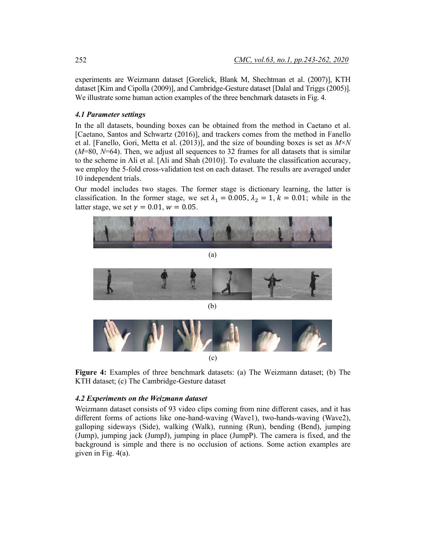experiments are Weizmann dataset [Gorelick, Blank M, Shechtman et al. (2007)], KTH dataset [Kim and Cipolla (2009)], and Cambridge-Gesture dataset [Dalal and Triggs (2005)]. We illustrate some human action examples of the three benchmark datasets in Fig. 4.

# *4.1 Parameter settings*

In the all datasets, bounding boxes can be obtained from the method in Caetano et al. [Caetano, Santos and Schwartz (2016)], and trackers comes from the method in Fanello et al. [Fanello, Gori, Metta et al. (2013)], and the size of bounding boxes is set as *M*×*N* (*M*=80, *N*=64). Then, we adjust all sequences to 32 frames for all datasets that is similar to the scheme in Ali et al. [Ali and Shah (2010)]. To evaluate the classification accuracy, we employ the 5-fold cross-validation test on each dataset. The results are averaged under 10 independent trials.

Our model includes two stages. The former stage is dictionary learning, the latter is classification. In the former stage, we set  $\lambda_1 = 0.005$ ,  $\lambda_2 = 1$ ,  $k = 0.01$ ; while in the latter stage, we set  $\gamma = 0.01$ ,  $w = 0.05$ .



**Figure 4:** Examples of three benchmark datasets: (a) The Weizmann dataset; (b) The KTH dataset; (c) The Cambridge-Gesture dataset

#### *4.2 Experiments on the Weizmann dataset*

Weizmann dataset consists of 93 video clips coming from nine different cases, and it has different forms of actions like one-hand-waving (Wave1), two-hands-waving (Wave2), galloping sideways (Side), walking (Walk), running (Run), bending (Bend), jumping (Jump), jumping jack (JumpJ), jumping in place (JumpP). The camera is fixed, and the background is simple and there is no occlusion of actions. Some action examples are given in Fig. 4(a).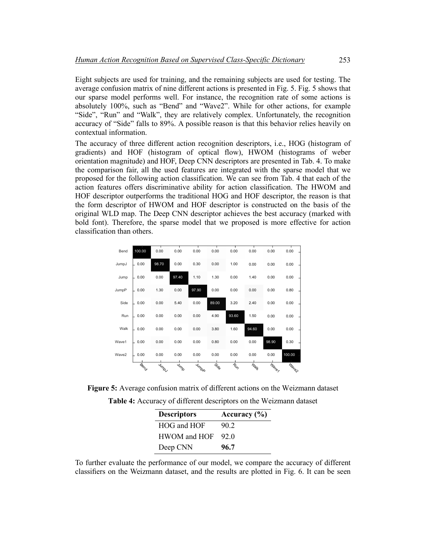Eight subjects are used for training, and the remaining subjects are used for testing. The average confusion matrix of nine different actions is presented in Fig. 5. Fig. 5 shows that our sparse model performs well. For instance, the recognition rate of some actions is absolutely 100%, such as "Bend" and "Wave2". While for other actions, for example "Side", "Run" and "Walk", they are relatively complex. Unfortunately, the recognition accuracy of "Side" falls to 89%. A possible reason is that this behavior relies heavily on contextual information.

The accuracy of three different action recognition descriptors, i.e., HOG (histogram of gradients) and HOF (histogram of optical flow), HWOM (histograms of weber orientation magnitude) and HOF, Deep CNN descriptors are presented in Tab. 4. To make the comparison fair, all the used features are integrated with the sparse model that we proposed for the following action classification. We can see from Tab. 4 that each of the action features offers discriminative ability for action classification. The HWOM and HOF descriptor outperforms the traditional HOG and HOF descriptor, the reason is that the form descriptor of HWOM and HOF descriptor is constructed on the basis of the original WLD map. The Deep CNN descriptor achieves the best accuracy (marked with bold font). Therefore, the sparse model that we proposed is more effective for action classification than others.

| Bend  | 100.00      | 0.00  | 0.00  | 0.00  | 0.00  | 0.00  | 0.00  | 0.00  | 0.00   |
|-------|-------------|-------|-------|-------|-------|-------|-------|-------|--------|
| JumpJ | 0.00        | 98.70 | 0.00  | 0.30  | 0.00  | 1.00  | 0.00  | 0.00  | 0.00   |
| Jump  | 0.00        | 0.00  | 97.40 | 1.10  | 1.30  | 0.00  | 1.40  | 0.00  | 0.00   |
| JumpP | 0.00        | 1.30  | 0.00  | 97.90 | 0.00  | 0.00  | 0.00  | 0.00  | 0.80   |
| Side  | 0.00        | 0.00  | 5.40  | 0.00  | 89.00 | 3.20  | 2.40  | 0.00  | 0.00   |
| Run   | 0.00        | 0.00  | 0.00  | 0.00  | 4.90  | 93.60 | 1.50  | 0.00  | 0.00   |
| Walk  | 0.00        | 0.00  | 0.00  | 0.00  | 3.80  | 1.60  | 94.60 | 0.00  | 0.00   |
| Wave1 | 0.00        | 0.00  | 0.00  | 0.00  | 0.80  | 0.00  | 0.00  | 98.90 | 0.30   |
| Wave2 | 0.00        | 0.00  | 0.00  | 0.00  | 0.00  | 0.00  | 0.00  | 0.00  | 100.00 |
|       | <b>Rend</b> | Jumps | Jump  | Jumpp | Sige  | Run   | Walt  | Wales | Wave2  |

**Figure 5:** Average confusion matrix of different actions on the Weizmann dataset

| <b>Descriptors</b> | Accuracy $(\% )$ |
|--------------------|------------------|
| HOG and HOF        | 90 2             |
| HWOM and HOF       | 920              |
| Deep CNN           | 96.7             |

To further evaluate the performance of our model, we compare the accuracy of different classifiers on the Weizmann dataset, and the results are plotted in Fig. 6. It can be seen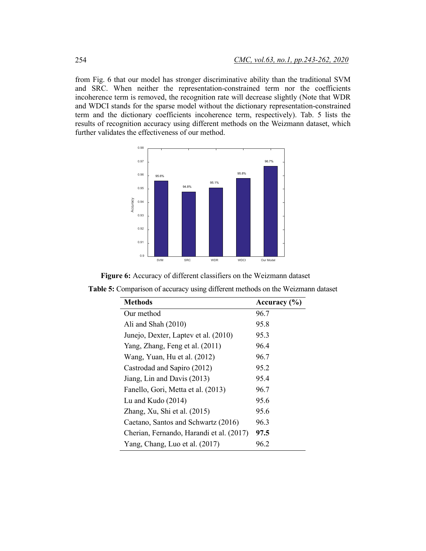from Fig. 6 that our model has stronger discriminative ability than the traditional SVM and SRC. When neither the representation-constrained term nor the coefficients incoherence term is removed, the recognition rate will decrease slightly (Note that WDR and WDCI stands for the sparse model without the dictionary representation-constrained term and the dictionary coefficients incoherence term, respectively). Tab. 5 lists the results of recognition accuracy using different methods on the Weizmann dataset, which further validates the effectiveness of our method.



**Figure 6:** Accuracy of different classifiers on the Weizmann dataset

| <b>Methods</b>                           | Accuracy $(\% )$ |
|------------------------------------------|------------------|
| Our method                               | 96.7             |
| Ali and Shah $(2010)$                    | 95.8             |
| Junejo, Dexter, Laptev et al. (2010)     | 95.3             |
| Yang, Zhang, Feng et al. (2011)          | 96.4             |
| Wang, Yuan, Hu et al. (2012)             | 96.7             |
| Castrodad and Sapiro (2012)              | 95.2             |
| Jiang, Lin and Davis (2013)              | 95.4             |
| Fanello, Gori, Metta et al. (2013)       | 96.7             |
| Lu and Kudo $(2014)$                     | 95.6             |
| Zhang, Xu, Shi et al. (2015)             | 95.6             |
| Caetano, Santos and Schwartz (2016)      | 96.3             |
| Cherian, Fernando, Harandi et al. (2017) | 97.5             |
| Yang, Chang, Luo et al. (2017)           | 96.2             |

**Table 5:** Comparison of accuracy using different methods on the Weizmann dataset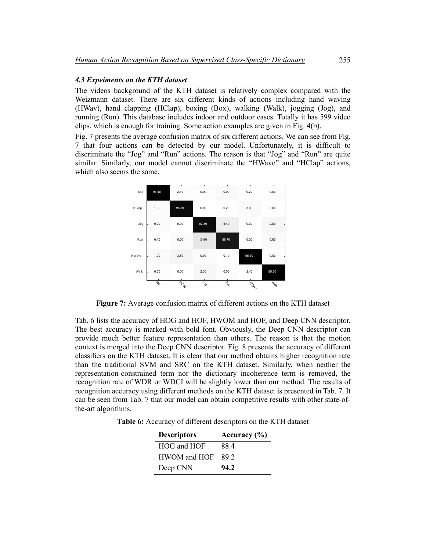# *4.3 Expeiments on the KTH dataset*

The videos background of the KTH dataset is relatively complex compared with the Weizmann dataset. There are six different kinds of actions including hand waving (HWav), hand clapping (HClap), boxing (Box), walking (Walk), jogging (Jog), and running (Run). This database includes indoor and outdoor cases. Totally it has 599 video clips, which is enough for training. Some action examples are given in Fig. 4(b).

Fig. 7 presents the average confusion matrix of six different actions. We can see from Fig. 7 that four actions can be detected by our model. Unfortunately, it is difficult to discriminate the "Jog" and "Run" actions. The reason is that "Jog" and "Run" are quite similar. Similarly, our model cannot discriminate the "HWave" and "HClap" actions, which also seems the same.



**Figure 7:** Average confusion matrix of different actions on the KTH dataset

Tab. 6 lists the accuracy of HOG and HOF, HWOM and HOF, and Deep CNN descriptor. The best accuracy is marked with bold font. Obviously, the Deep CNN descriptor can provide much better feature representation than others. The reason is that the motion context is merged into the Deep CNN descriptor. Fig. 8 presents the accuracy of different classifiers on the KTH dataset. It is clear that our method obtains higher recognition rate than the traditional SVM and SRC on the KTH dataset. Similarly, when neither the representation-constrained term nor the dictionary incoherence term is removed, the recognition rate of WDR or WDCI will be slightly lower than our method. The results of recognition accuracy using different methods on the KTH dataset is presented in Tab. 7. It can be seen from Tab. 7 that our model can obtain competitive results with other state-ofthe-art algorithms.

**Table 6:** Accuracy of different descriptors on the KTH dataset

| <b>Descriptors</b> | Accuracy $(\% )$ |
|--------------------|------------------|
| HOG and HOF        | 884              |
| HWOM and HOF       | 892              |
| Deep CNN           | 94.2             |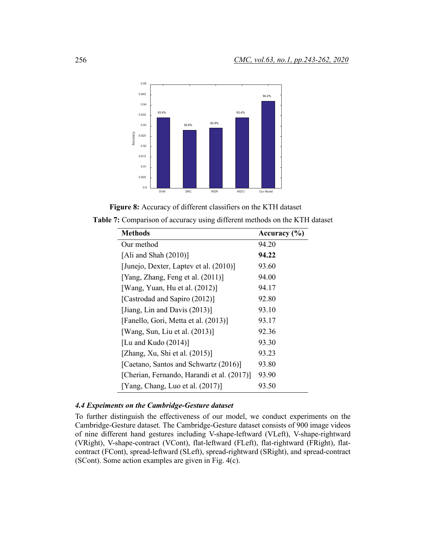

**Figure 8:** Accuracy of different classifiers on the KTH dataset

| <b>Table 7:</b> Comparison of accuracy using different methods on the KTH dataset |  |
|-----------------------------------------------------------------------------------|--|
|-----------------------------------------------------------------------------------|--|

| <b>Methods</b>                             | Accuracy $(\% )$ |
|--------------------------------------------|------------------|
| Our method                                 | 94.20            |
| [Ali and Shah $(2010)$ ]                   | 94.22            |
| [Junejo, Dexter, Laptev et al. (2010)]     | 93.60            |
| [Yang, Zhang, Feng et al. (2011)]          | 94.00            |
| [Wang, Yuan, Hu et al. $(2012)$ ]          | 94.17            |
| [Castrodad and Sapiro (2012)]              | 92.80            |
| [Jiang, Lin and Davis $(2013)$ ]           | 93.10            |
| [Fanello, Gori, Metta et al. (2013)]       | 93.17            |
| [Wang, Sun, Liu et al. $(2013)$ ]          | 92.36            |
| [Lu and Kudo $(2014)$ ]                    | 93.30            |
| [Zhang, Xu, Shi et al. $(2015)$ ]          | 93.23            |
| [Caetano, Santos and Schwartz (2016)]      | 93.80            |
| [Cherian, Fernando, Harandi et al. (2017)] | 93.90            |
| [Yang, Chang, Luo et al. $(2017)$ ]        | 93.50            |

# *4.4 Expeiments on the Cambridge-Gesture dataset*

To further distinguish the effectiveness of our model, we conduct experiments on the Cambridge-Gesture dataset. The Cambridge-Gesture dataset consists of 900 image videos of nine different hand gestures including V-shape-leftward (VLeft), V-shape-rightward (VRight), V-shape-contract (VCont), flat-leftward (FLeft), flat-rightward (FRight), flatcontract (FCont), spread-leftward (SLeft), spread-rightward (SRight), and spread-contract (SCont). Some action examples are given in Fig. 4(c).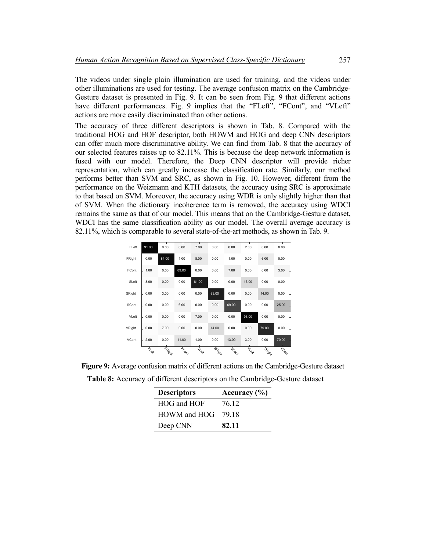The videos under single plain illumination are used for training, and the videos under other illuminations are used for testing. The average confusion matrix on the Cambridge-Gesture dataset is presented in Fig. 9. It can be seen from Fig. 9 that different actions have different performances. Fig. 9 implies that the "FLeft", "FCont", and "VLeft" actions are more easily discriminated than other actions.

The accuracy of three different descriptors is shown in Tab. 8. Compared with the traditional HOG and HOF descriptor, both HOWM and HOG and deep CNN descriptors can offer much more discriminative ability. We can find from Tab. 8 that the accuracy of our selected features raises up to 82.11%. This is because the deep network information is fused with our model. Therefore, the Deep CNN descriptor will provide richer representation, which can greatly increase the classification rate. Similarly, our method performs better than SVM and SRC, as shown in Fig. 10. However, different from the performance on the Weizmann and KTH datasets, the accuracy using SRC is approximate to that based on SVM. Moreover, the accuracy using WDR is only slightly higher than that of SVM. When the dictionary incoherence term is removed, the accuracy using WDCI remains the same as that of our model. This means that on the Cambridge-Gesture dataset, WDCI has the same classification ability as our model. The overall average accuracy is 82.11%, which is comparable to several state-of-the-art methods, as shown in Tab. 9.

| FLeft  | 91.00 | 0.00   | 0.00  | 7.00        | 0.00   | 0.00  | 2.00     | 0.00   | 0.00  |
|--------|-------|--------|-------|-------------|--------|-------|----------|--------|-------|
| FRight | 0.00  | 84.00  | 1.00  | 8.00        | 0.00   | 1.00  | 0.00     | 6.00   | 0.00  |
| FCont  | 1.00  | 0.00   | 89.00 | 0.00        | 0.00   | 7.00  | 0.00     | 0.00   | 3.00  |
| SLeft  | 3.00  | 0.00   | 0.00  | 81.00       | 0.00   | 0.00  | 16.00    | 0.00   | 0.00  |
| SRight | 0.00  | 3.00   | 0.00  | 0.00        | 83.00  | 0.00  | 0.00     | 14.00  | 0.00  |
| SCont  | 0.00  | 0.00   | 6.00  | 0.00        | 0.00   | 69.00 | 0.00     | 0.00   | 25.00 |
| VLeft  | 0.00  | 0.00   | 0.00  | 7.00        | 0.00   | 0.00  | 93.00    | 0.00   | 0.00  |
| VRight | 0.00  | 7.00   | 0.00  | 0.00        | 14.00  | 0.00  | 0.00     | 79.00  | 0.00  |
| VCont  | 2.00  | 0.00   | 11.00 | 1.00        | 0.00   | 13.00 | 3.00     | 0.00   | 70.00 |
|        | TL BA | FRight | FCONT | <b>DLON</b> | SRIGHT | 5com  | In Press | LRight | LCom  |

**Figure 9:** Average confusion matrix of different actions on the Cambridge-Gesture dataset **Table 8:** Accuracy of different descriptors on the Cambridge-Gesture dataset

| <b>Descriptors</b> | Accuracy $(\% )$ |
|--------------------|------------------|
| HOG and HOF        | 76 12            |
| HOWM and HOG       | 79.18            |
| Deep CNN           | 82.11            |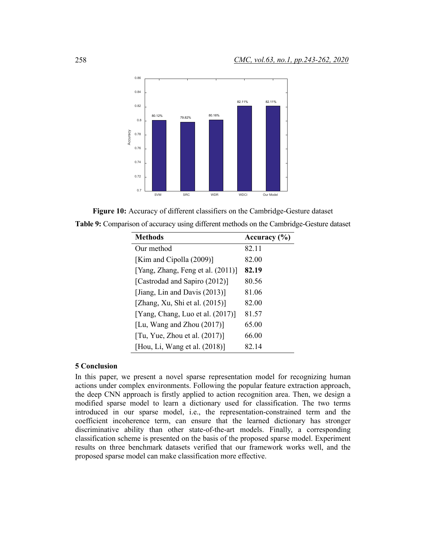



| <b>Table 9:</b> Comparison of accuracy using different methods on the Cambridge-Gesture dataset |  |  |  |  |
|-------------------------------------------------------------------------------------------------|--|--|--|--|
|                                                                                                 |  |  |  |  |

| <b>Methods</b>                      | Accuracy (%) |
|-------------------------------------|--------------|
| Our method                          | 82.11        |
| [Kim and Cipolla (2009)]            | 82.00        |
| [Yang, Zhang, Feng et al. (2011)]   | 82.19        |
| [Castrodad and Sapiro (2012)]       | 80.56        |
| [Jiang, Lin and Davis $(2013)$ ]    | 81.06        |
| [Zhang, Xu, Shi et al. $(2015)$ ]   | 82.00        |
| [Yang, Chang, Luo et al. $(2017)$ ] | 81.57        |
| [Lu, Wang and Zhou $(2017)$ ]       | 65.00        |
| [Tu, Yue, Zhou et al. $(2017)$ ]    | 66.00        |
| [Hou, Li, Wang et al. $(2018)$ ]    | 82.14        |

# **5 Conclusion**

In this paper, we present a novel sparse representation model for recognizing human actions under complex environments. Following the popular feature extraction approach, the deep CNN approach is firstly applied to action recognition area. Then, we design a modified sparse model to learn a dictionary used for classification. The two terms introduced in our sparse model, i.e., the representation-constrained term and the coefficient incoherence term, can ensure that the learned dictionary has stronger discriminative ability than other state-of-the-art models. Finally, a corresponding classification scheme is presented on the basis of the proposed sparse model. Experiment results on three benchmark datasets verified that our framework works well, and the proposed sparse model can make classification more effective.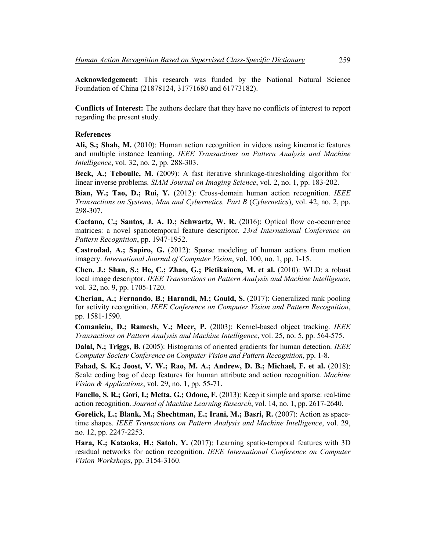**Acknowledgement:** This research was funded by the National Natural Science Foundation of China (21878124, 31771680 and 61773182).

**Conflicts of Interest:** The authors declare that they have no conflicts of interest to report regarding the present study.

### **References**

**Ali, S.; Shah, M.** (2010): Human action recognition in videos using kinematic features and multiple instance learning. *IEEE Transactions on Pattern Analysis and Machine Intelligence*, vol. 32, no. 2, pp. 288-303.

**Beck, A.; Teboulle, M.** (2009): A fast iterative shrinkage-thresholding algorithm for linear inverse problems. *SIAM Journal on Imaging Science*, vol. 2, no. 1, pp. 183-202.

**Bian, W.; Tao, D.; Rui, Y.** (2012): Cross-domain human action recognition. *IEEE Transactions on Systems, Man and Cybernetics, Part B* (*Cybernetics*), vol. 42, no. 2, pp. 298-307.

**Caetano, C.; Santos, J. A. D.; Schwartz, W. R.** (2016): Optical flow co-occurrence matrices: a novel spatiotemporal feature descriptor. *23rd International Conference on Pattern Recognition*, pp. 1947-1952.

**Castrodad, A.; Sapiro, G.** (2012): Sparse modeling of human actions from motion imagery. *International Journal of Computer Vision*, vol. 100, no. 1, pp. 1-15.

**Chen, J.; Shan, S.; He, C.; Zhao, G.; Pietikainen, M. et al.** (2010): WLD: a robust local image descriptor. *IEEE Transactions on Pattern Analysis and Machine Intelligence*, vol. 32, no. 9, pp. 1705-1720.

**Cherian, A.; Fernando, B.; Harandi, M.; Gould, S.** (2017): Generalized rank pooling for activity recognition. *IEEE Conference on Computer Vision and Pattern Recognition*, pp. 1581-1590.

**Comaniciu, D.; Ramesh, V.; Meer, P.** (2003): Kernel-based object tracking. *IEEE Transactions on Pattern Analysis and Machine Intelligence*, vol. 25, no. 5, pp. 564-575.

**Dalal, N.; Triggs, B.** (2005): Histograms of oriented gradients for human detection. *IEEE Computer Society Conference on Computer Vision and Pattern Recognition*, pp. 1-8.

**Fahad, S. K.; Joost, V. W.; Rao, M. A.; Andrew, D. B.; Michael, F. et al.** (2018): Scale coding bag of deep features for human attribute and action recognition. *Machine Vision & Applications*, vol. 29, no. 1, pp. 55-71.

**Fanello, S. R.; Gori, I.; Metta, G.; Odone, F.** (2013): Keep it simple and sparse: real-time action recognition. *Journal of Machine Learning Research*, vol. 14, no. 1, pp. 2617-2640.

**Gorelick, L.; Blank, M.; Shechtman, E.; Irani, M.; Basri, R.** (2007): Action as spacetime shapes. *IEEE Transactions on Pattern Analysis and Machine Intelligence*, vol. 29, no. 12, pp. 2247-2253.

**Hara, K.; Kataoka, H.; Satoh, Y.** (2017): Learning spatio-temporal features with 3D residual networks for action recognition. *IEEE International Conference on Computer Vision Workshops*, pp. 3154-3160.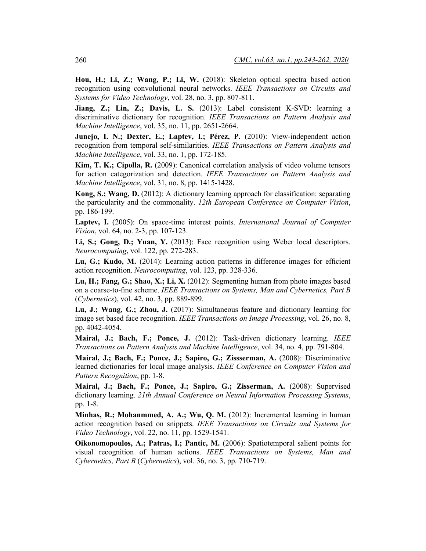**Hou, H.; Li, Z.; Wang, P.; Li, W.** (2018): Skeleton optical spectra based action recognition using convolutional neural networks. *IEEE Transactions on Circuits and Systems for Video Technology*, vol. 28, no. 3, pp. 807-811.

**Jiang, Z.; Lin, Z.; Davis, L. S.** (2013): Label consistent K-SVD: learning a discriminative dictionary for recognition. *IEEE Transactions on Pattern Analysis and Machine Intelligence*, vol. 35, no. 11, pp. 2651-2664.

**Junejo, I. N.; Dexter, E.; Laptev, I.; Pérez, P.** (2010): View-independent action recognition from temporal self-similarities. *IEEE Transactions on Pattern Analysis and Machine Intelligence*, vol. 33, no. 1, pp. 172-185.

**Kim, T. K.; Cipolla, R.** (2009): Canonical correlation analysis of video volume tensors for action categorization and detection. *IEEE Transactions on Pattern Analysis and Machine Intelligence*, vol. 31, no. 8, pp. 1415-1428.

**Kong, S.; Wang, D.** (2012): A dictionary learning approach for classification: separating the particularity and the commonality. *12th European Conference on Computer Vision*, pp. 186-199.

**Laptev, I.** (2005): On space-time interest points. *International Journal of Computer Vision*, vol. 64, no. 2-3, pp. 107-123.

**Li, S.; Gong, D.; Yuan, Y.** (2013): Face recognition using Weber local descriptors. *Neurocomputing*, vol. 122, pp. 272-283.

**Lu, G.; Kudo, M.** (2014): Learning action patterns in difference images for efficient action recognition. *Neurocomputing*, vol. 123, pp. 328-336.

**Lu, H.; Fang, G.; Shao, X.; Li, X.** (2012): Segmenting human from photo images based on a coarse-to-fine scheme. *IEEE Transactions on Systems, Man and Cybernetics, Part B*  (*Cybernetics*), vol. 42, no. 3, pp. 889-899.

**Lu, J.; Wang, G.; Zhou, J.** (2017): Simultaneous feature and dictionary learning for image set based face recognition. *IEEE Transactions on Image Processing*, vol. 26, no. 8, pp. 4042-4054.

**Mairal, J.; Bach, F.; Ponce, J.** (2012): Task-driven dictionary learning. *IEEE Transactions on Pattern Analysis and Machine Intelligence*, vol. 34, no. 4, pp. 791-804.

**Mairal, J.; Bach, F.; Ponce, J.; Sapiro, G.; Zissserman, A.** (2008): Discriminative learned dictionaries for local image analysis. *IEEE Conference on Computer Vision and Pattern Recognition*, pp. 1-8.

**Mairal, J.; Bach, F.; Ponce, J.; Sapiro, G.; Zisserman, A.** (2008): Supervised dictionary learning. *21th Annual Conference on Neural Information Processing Systems*, pp. 1-8.

**Minhas, R.; Mohanmmed, A. A.; Wu, Q. M.** (2012): Incremental learning in human action recognition based on snippets. *IEEE Transactions on Circuits and Systems for Video Technology*, vol. 22, no. 11, pp. 1529-1541.

**Oikonomopoulos, A.; Patras, I.; Pantic, M.** (2006): Spatiotemporal salient points for visual recognition of human actions. *IEEE Transactions on Systems, Man and Cybernetics, Part B* (*Cybernetics*), vol. 36, no. 3, pp. 710-719.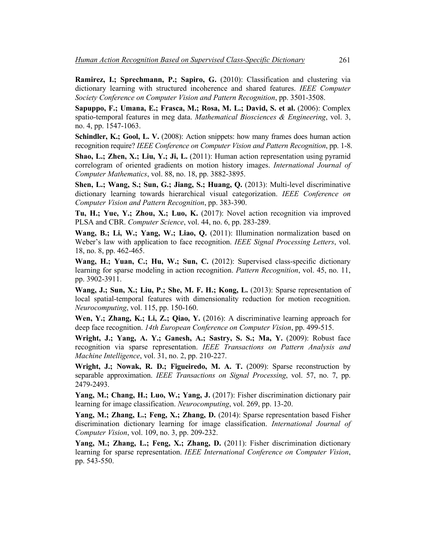**Ramirez, I.; Sprechmann, P.; Sapiro, G.** (2010): Classification and clustering via dictionary learning with structured incoherence and shared features. *IEEE Computer Society Conference on Computer Vision and Pattern Recognition*, pp. 3501-3508.

**Sapuppo, F.; Umana, E.; Frasca, M.; Rosa, M. L.; David, S. et al.** (2006): Complex spatio-temporal features in meg data. *Mathematical Biosciences & Engineering*, vol. 3, no. 4, pp. 1547-1063.

**Schindler, K.; Gool, L. V.** (2008): Action snippets: how many frames does human action recognition require? *IEEE Conference on Computer Vision and Pattern Recognition*, pp. 1-8.

**Shao, L.; Zhen, X.; Liu, Y.; Ji, L.** (2011): Human action representation using pyramid correlogram of oriented gradients on motion history images. *International Journal of Computer Mathematics*, vol. 88, no. 18, pp. 3882-3895.

**Shen, L.; Wang, S.; Sun, G.; Jiang, S.; Huang, Q.** (2013): Multi-level discriminative dictionary learning towards hierarchical visual categorization. *IEEE Conference on Computer Vision and Pattern Recognition*, pp. 383-390.

**Tu, H.; Yue, Y.; Zhou, X.; Luo, K.** (2017): Novel action recognition via improved PLSA and CBR. *Computer Science*, vol. 44, no. 6, pp. 283-289.

**Wang, B.; Li, W.; Yang, W.; Liao, Q.** (2011): Illumination normalization based on Weber's law with application to face recognition. *IEEE Signal Processing Letters*, vol. 18, no. 8, pp. 462-465.

**Wang, H.; Yuan, C.; Hu, W.; Sun, C.** (2012): Supervised class-specific dictionary learning for sparse modeling in action recognition. *Pattern Recognition*, vol. 45, no. 11, pp. 3902-3911.

**Wang, J.; Sun, X.; Liu, P.; She, M. F. H.; Kong, L.** (2013): Sparse representation of local spatial-temporal features with dimensionality reduction for motion recognition. *Neurocomputing*, vol. 115, pp. 150-160.

**Wen, Y.; Zhang, K.; Li, Z.; Qiao, Y.** (2016): A discriminative learning approach for deep face recognition. *14th European Conference on Computer Vision*, pp. 499-515.

**Wright, J.; Yang, A. Y.; Ganesh, A.; Sastry, S. S.; Ma, Y.** (2009): Robust face recognition via sparse representation. *IEEE Transactions on Pattern Analysis and Machine Intelligence*, vol. 31, no. 2, pp. 210-227.

**Wright, J.; Nowak, R. D.; Figueiredo, M. A. T.** (2009): Sparse reconstruction by separable approximation. *IEEE Transactions on Signal Processing*, vol. 57, no. 7, pp. 2479-2493.

**Yang, M.; Chang, H.; Luo, W.; Yang, J.** (2017): Fisher discrimination dictionary pair learning for image classification. *Neurocomputing*, vol. 269, pp. 13-20.

**Yang, M.; Zhang, L.; Feng, X.; Zhang, D.** (2014): Sparse representation based Fisher discrimination dictionary learning for image classification. *International Journal of Computer Vision*, vol. 109, no. 3, pp. 209-232.

**Yang, M.; Zhang, L.; Feng, X.; Zhang, D.** (2011): Fisher discrimination dictionary learning for sparse representation. *IEEE International Conference on Computer Vision*, pp. 543-550.